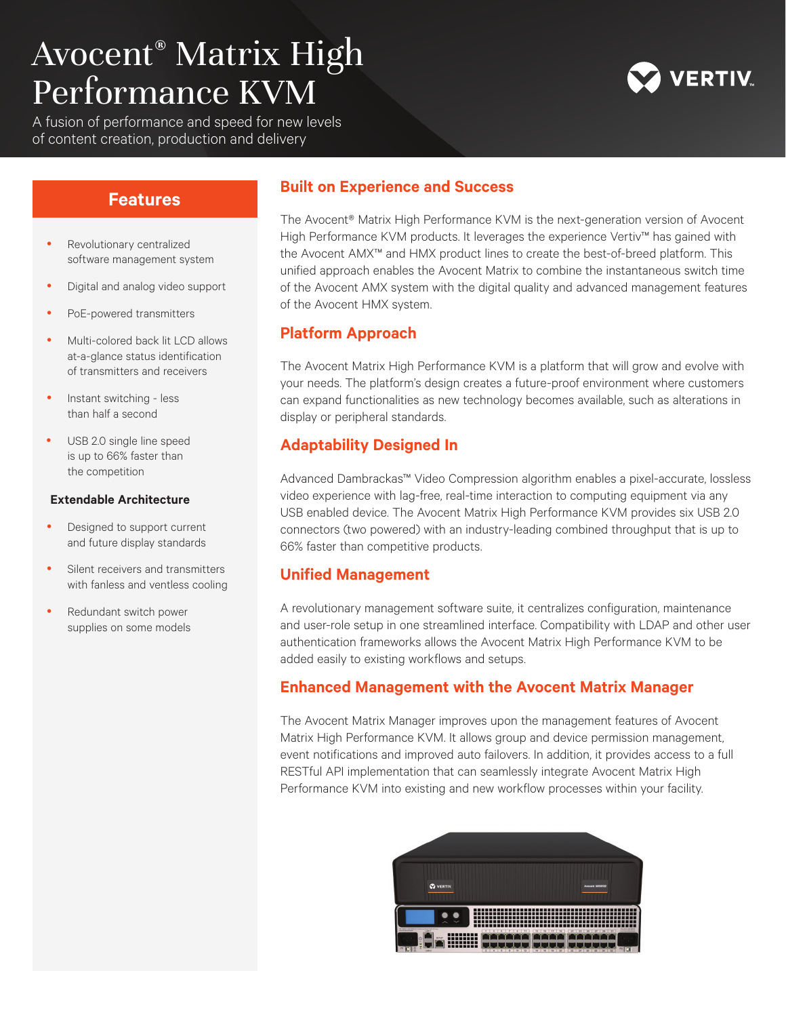# Avocent® Matrix High Performance KVM

A fusion of performance and speed for new levels of content creation, production and delivery

# **ERTIV**

- Revolutionary centralized software management system
- Digital and analog video support
- PoE-powered transmitters
- Multi-colored back lit LCD allows at-a-glance status identification of transmitters and receivers
- Instant switching less than half a second
- USB 2.0 single line speed is up to 66% faster than the competition

#### **Extendable Architecture**

- Designed to support current and future display standards
- Silent receivers and transmitters with fanless and ventless cooling
- Redundant switch power supplies on some models

## **Features Built on Experience and Success**

The Avocent® Matrix High Performance KVM is the next-generation version of Avocent High Performance KVM products. It leverages the experience Vertiv™ has gained with the Avocent AMX™ and HMX product lines to create the best-of-breed platform. This unified approach enables the Avocent Matrix to combine the instantaneous switch time of the Avocent AMX system with the digital quality and advanced management features of the Avocent HMX system.

#### **Platform Approach**

The Avocent Matrix High Performance KVM is a platform that will grow and evolve with your needs. The platform's design creates a future-proof environment where customers can expand functionalities as new technology becomes available, such as alterations in display or peripheral standards.

### **Adaptability Designed In**

Advanced Dambrackas™ Video Compression algorithm enables a pixel-accurate, lossless video experience with lag-free, real-time interaction to computing equipment via any USB enabled device. The Avocent Matrix High Performance KVM provides six USB 2.0 connectors (two powered) with an industry-leading combined throughput that is up to 66% faster than competitive products.

#### **Unified Management**

A revolutionary management software suite, it centralizes configuration, maintenance and user-role setup in one streamlined interface. Compatibility with LDAP and other user authentication frameworks allows the Avocent Matrix High Performance KVM to be added easily to existing workflows and setups.

#### **Enhanced Management with the Avocent Matrix Manager**

The Avocent Matrix Manager improves upon the management features of Avocent Matrix High Performance KVM. It allows group and device permission management, event notifications and improved auto failovers. In addition, it provides access to a full RESTful API implementation that can seamlessly integrate Avocent Matrix High Performance KVM into existing and new workflow processes within your facility.